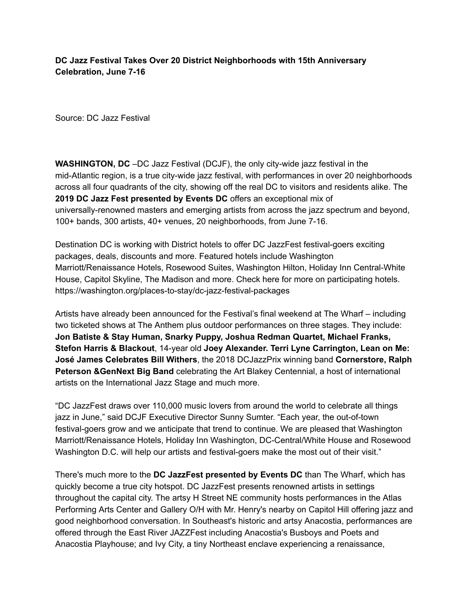## **DC Jazz Festival Takes Over 20 District Neighborhoods with 15th Anniversary Celebration, June 7-16**

Source: DC Jazz Festival

**WASHINGTON, DC** –DC Jazz Festival (DCJF), the only city-wide jazz festival in the mid-Atlantic region, is a true city-wide jazz festival, with performances in over 20 neighborhoods across all four quadrants of the city, showing off the real DC to visitors and residents alike. The **2019 DC Jazz Fest presented by Events DC** offers an exceptional mix of universally-renowned masters and emerging artists from across the jazz spectrum and beyond, 100+ bands, 300 artists, 40+ venues, 20 neighborhoods, from June 7-16.

Destination DC is working with District hotels to offer DC JazzFest festival-goers exciting packages, deals, discounts and more. Featured hotels include Washington Marriott/Renaissance Hotels, Rosewood Suites, Washington Hilton, Holiday Inn Central-White House, Capitol Skyline, The Madison and more. Check here for more on participating hotels. https://washington.org/places-to-stay/dc-jazz-festival-packages

Artists have already been announced for the Festival's final weekend at The Wharf – including two ticketed shows at The Anthem plus outdoor performances on three stages. They include: **Jon Batiste & Stay Human, Snarky Puppy, Joshua Redman Quartet, Michael Franks, Stefon Harris & Blackout**, 14-year old **Joey Alexander. Terri Lyne Carrington, Lean on Me: José James Celebrates Bill Withers**, the 2018 DCJazzPrix winning band **Cornerstore, Ralph Peterson &GenNext Big Band** celebrating the Art Blakey Centennial, a host of international artists on the International Jazz Stage and much more.

"DC JazzFest draws over 110,000 music lovers from around the world to celebrate all things jazz in June," said DCJF Executive Director Sunny Sumter. "Each year, the out-of-town festival-goers grow and we anticipate that trend to continue. We are pleased that Washington Marriott/Renaissance Hotels, Holiday Inn Washington, DC-Central/White House and Rosewood Washington D.C. will help our artists and festival-goers make the most out of their visit."

There's much more to the **DC JazzFest presented by Events DC** than The Wharf, which has quickly become a true city hotspot. DC JazzFest presents renowned artists in settings throughout the capital city. The artsy H Street NE community hosts performances in the Atlas Performing Arts Center and Gallery O/H with Mr. Henry's nearby on Capitol Hill offering jazz and good neighborhood conversation. In Southeast's historic and artsy Anacostia, performances are offered through the East River JAZZFest including Anacostia's Busboys and Poets and Anacostia Playhouse; and Ivy City, a tiny Northeast enclave experiencing a renaissance,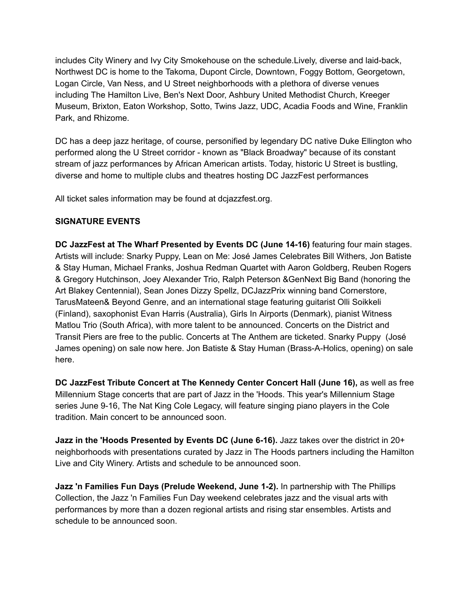includes City Winery and Ivy City Smokehouse on the schedule.Lively, diverse and laid-back, Northwest DC is home to the Takoma, Dupont Circle, Downtown, Foggy Bottom, Georgetown, Logan Circle, Van Ness, and U Street neighborhoods with a plethora of diverse venues including The Hamilton Live, Ben's Next Door, Ashbury United Methodist Church, Kreeger Museum, Brixton, Eaton Workshop, Sotto, Twins Jazz, UDC, Acadia Foods and Wine, Franklin Park, and Rhizome.

DC has a deep jazz heritage, of course, personified by legendary DC native Duke Ellington who performed along the U Street corridor - known as "Black Broadway" because of its constant stream of jazz performances by African American artists. Today, historic U Street is bustling, diverse and home to multiple clubs and theatres hosting DC JazzFest performances

All ticket sales information may be found at dcjazzfest.org.

## **SIGNATURE EVENTS**

**DC JazzFest at The Wharf Presented by Events DC (June 14-16)** featuring four main stages. Artists will include: Snarky Puppy, Lean on Me: José James Celebrates Bill Withers, Jon Batiste & Stay Human, Michael Franks, Joshua Redman Quartet with Aaron Goldberg, Reuben Rogers & Gregory Hutchinson, Joey Alexander Trio, Ralph Peterson &GenNext Big Band (honoring the Art Blakey Centennial), Sean Jones Dizzy Spellz, DCJazzPrix winning band Cornerstore, TarusMateen& Beyond Genre, and an international stage featuring guitarist Olli Soikkeli (Finland), saxophonist Evan Harris (Australia), Girls In Airports (Denmark), pianist Witness Matlou Trio (South Africa), with more talent to be announced. Concerts on the District and Transit Piers are free to the public. Concerts at The Anthem are ticketed. Snarky Puppy (José James opening) on sale now here. Jon Batiste & Stay Human (Brass-A-Holics, opening) on sale here.

**DC JazzFest Tribute Concert at The Kennedy Center Concert Hall (June 16),** as well as free Millennium Stage concerts that are part of Jazz in the 'Hoods. This year's Millennium Stage series June 9-16, The Nat King Cole Legacy, will feature singing piano players in the Cole tradition. Main concert to be announced soon.

**Jazz in the 'Hoods Presented by Events DC (June 6-16).** Jazz takes over the district in 20+ neighborhoods with presentations curated by Jazz in The Hoods partners including the Hamilton Live and City Winery. Artists and schedule to be announced soon.

**Jazz 'n Families Fun Days (Prelude Weekend, June 1-2).** In partnership with The Phillips Collection, the Jazz 'n Families Fun Day weekend celebrates jazz and the visual arts with performances by more than a dozen regional artists and rising star ensembles. Artists and schedule to be announced soon.